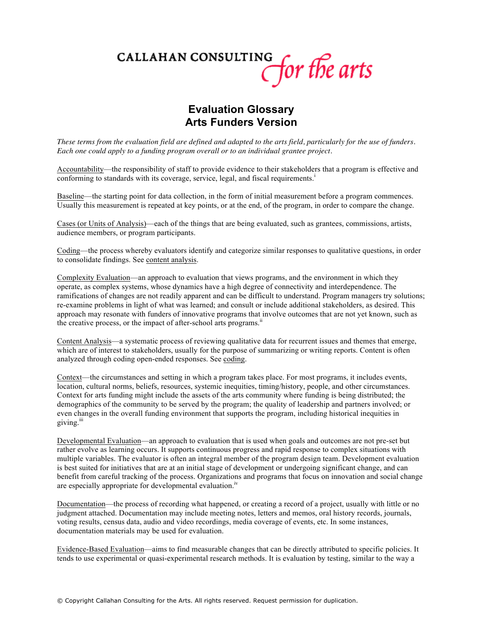## CALLAHAN CONSULTING for the arts

## **Evaluation Glossary Arts Funders Version**

*These terms from the evaluation field are defined and adapted to the arts field, particularly for the use of funders. Each one could apply to a funding program overall or to an individual grantee project.* 

Accountability—the responsibility of staff to provide evidence to their stakeholders that a program is effective and conforming to standards with its coverage, service, legal, and fiscal requirements.<sup>i</sup>

Baseline—the starting point for data collection, in the form of initial measurement before a program commences. Usually this measurement is repeated at key points, or at the end, of the program, in order to compare the change.

Cases (or Units of Analysis)—each of the things that are being evaluated, such as grantees, commissions, artists, audience members, or program participants.

Coding—the process whereby evaluators identify and categorize similar responses to qualitative questions, in order to consolidate findings. See content analysis.

Complexity Evaluation—an approach to evaluation that views programs, and the environment in which they operate, as complex systems, whose dynamics have a high degree of connectivity and interdependence. The ramifications of changes are not readily apparent and can be difficult to understand. Program managers try solutions; re-examine problems in light of what was learned; and consult or include additional stakeholders, as desired. This approach may resonate with funders of innovative programs that involve outcomes that are not yet known, such as the creative process, or the impact of after-school arts programs.<sup>ii</sup>

Content Analysis—a systematic process of reviewing qualitative data for recurrent issues and themes that emerge, which are of interest to stakeholders, usually for the purpose of summarizing or writing reports. Content is often analyzed through coding open-ended responses. See coding.

Context—the circumstances and setting in which a program takes place. For most programs, it includes events, location, cultural norms, beliefs, resources, systemic inequities, timing/history, people, and other circumstances. Context for arts funding might include the assets of the arts community where funding is being distributed; the demographics of the community to be served by the program; the quality of leadership and partners involved; or even changes in the overall funding environment that supports the program, including historical inequities in giving.<sup>iii</sup>

Developmental Evaluation—an approach to evaluation that is used when goals and outcomes are not pre-set but rather evolve as learning occurs. It supports continuous progress and rapid response to complex situations with multiple variables. The evaluator is often an integral member of the program design team. Development evaluation is best suited for initiatives that are at an initial stage of development or undergoing significant change, and can benefit from careful tracking of the process. Organizations and programs that focus on innovation and social change are especially appropriate for developmental evaluation.<sup>iv</sup>

Documentation—the process of recording what happened, or creating a record of a project, usually with little or no judgment attached. Documentation may include meeting notes, letters and memos, oral history records, journals, voting results, census data, audio and video recordings, media coverage of events, etc. In some instances, documentation materials may be used for evaluation.

Evidence-Based Evaluation—aims to find measurable changes that can be directly attributed to specific policies. It tends to use experimental or quasi-experimental research methods. It is evaluation by testing, similar to the way a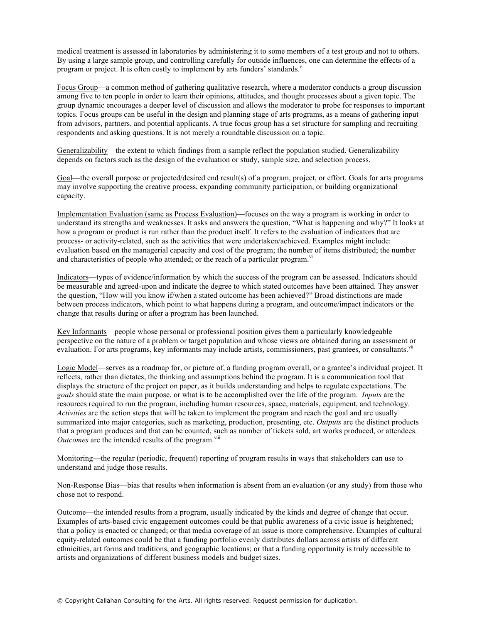medical treatment is assessed in laboratories by administering it to some members of a test group and not to others. By using a large sample group, and controlling carefully for outside influences, one can determine the effects of a program or project. It is often costly to implement by arts funders' standards.<sup>v</sup>

Focus Group—a common method of gathering qualitative research, where a moderator conducts a group discussion among five to ten people in order to learn their opinions, attitudes, and thought processes about a given topic. The group dynamic encourages a deeper level of discussion and allows the moderator to probe for responses to important topics. Focus groups can be useful in the design and planning stage of arts programs, as a means of gathering input from advisors, partners, and potential applicants. A true focus group has a set structure for sampling and recruiting respondents and asking questions. It is not merely a roundtable discussion on a topic.

Generalizability—the extent to which findings from a sample reflect the population studied. Generalizability depends on factors such as the design of the evaluation or study, sample size, and selection process.

Goal—the overall purpose or projected/desired end result(s) of a program, project, or effort. Goals for arts programs may involve supporting the creative process, expanding community participation, or building organizational capacity.

Implementation Evaluation (same as Process Evaluation)—focuses on the way a program is working in order to understand its strengths and weaknesses. It asks and answers the question, "What is happening and why?" It looks at how a program or product is run rather than the product itself. It refers to the evaluation of indicators that are process- or activity-related, such as the activities that were undertaken/achieved. Examples might include: evaluation based on the managerial capacity and cost of the program; the number of items distributed; the number and characteristics of people who attended; or the reach of a particular program.<sup>vi</sup>

Indicators—types of evidence/information by which the success of the program can be assessed. Indicators should be measurable and agreed-upon and indicate the degree to which stated outcomes have been attained. They answer the question, "How will you know if/when a stated outcome has been achieved?" Broad distinctions are made between process indicators, which point to what happens during a program, and outcome/impact indicators or the change that results during or after a program has been launched.

Key Informants—people whose personal or professional position gives them a particularly knowledgeable perspective on the nature of a problem or target population and whose views are obtained during an assessment or evaluation. For arts programs, key informants may include artists, commissioners, past grantees, or consultants.<sup>vii</sup>

Logic Model—serves as a roadmap for, or picture of, a funding program overall, or a grantee's individual project. It reflects, rather than dictates, the thinking and assumptions behind the program. It is a communication tool that displays the structure of the project on paper, as it builds understanding and helps to regulate expectations. The *goals* should state the main purpose, or what is to be accomplished over the life of the program. *Inputs* are the resources required to run the program, including human resources, space, materials, equipment, and technology. *Activities* are the action steps that will be taken to implement the program and reach the goal and are usually summarized into major categories, such as marketing, production, presenting, etc. *Outputs* are the distinct products that a program produces and that can be counted, such as number of tickets sold, art works produced, or attendees. *Outcomes* are the intended results of the program.<sup>viii</sup>

Monitoring—the regular (periodic, frequent) reporting of program results in ways that stakeholders can use to understand and judge those results.

Non-Response Bias—bias that results when information is absent from an evaluation (or any study) from those who chose not to respond.

Outcome—the intended results from a program, usually indicated by the kinds and degree of change that occur. Examples of arts-based civic engagement outcomes could be that public awareness of a civic issue is heightened; that a policy is enacted or changed; or that media coverage of an issue is more comprehensive. Examples of cultural equity-related outcomes could be that a funding portfolio evenly distributes dollars across artists of different ethnicities, art forms and traditions, and geographic locations; or that a funding opportunity is truly accessible to artists and organizations of different business models and budget sizes.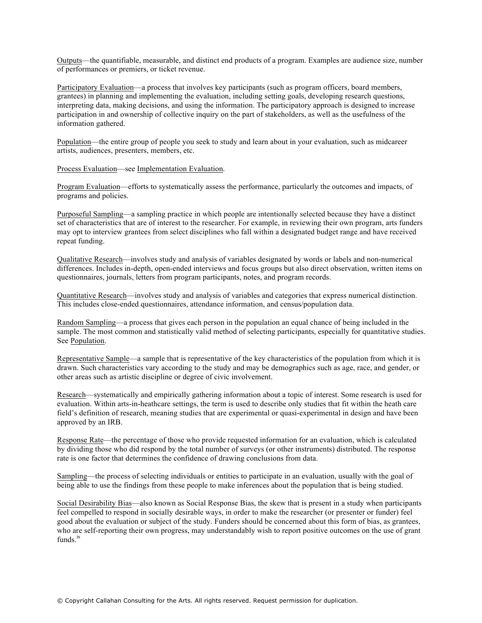Outputs—the quantifiable, measurable, and distinct end products of a program. Examples are audience size, number of performances or premiers, or ticket revenue.

Participatory Evaluation—a process that involves key participants (such as program officers, board members, grantees) in planning and implementing the evaluation, including setting goals, developing research questions, interpreting data, making decisions, and using the information. The participatory approach is designed to increase participation in and ownership of collective inquiry on the part of stakeholders, as well as the usefulness of the information gathered.

Population—the entire group of people you seek to study and learn about in your evaluation, such as midcareer artists, audiences, presenters, members, etc.

Process Evaluation—see Implementation Evaluation.

Program Evaluation—efforts to systematically assess the performance, particularly the outcomes and impacts, of programs and policies.

Purposeful Sampling—a sampling practice in which people are intentionally selected because they have a distinct set of characteristics that are of interest to the researcher. For example, in reviewing their own program, arts funders may opt to interview grantees from select disciplines who fall within a designated budget range and have received repeat funding.

Qualitative Research—involves study and analysis of variables designated by words or labels and non-numerical differences. Includes in-depth, open-ended interviews and focus groups but also direct observation, written items on questionnaires, journals, letters from program participants, notes, and program records.

Quantitative Research—involves study and analysis of variables and categories that express numerical distinction. This includes close-ended questionnaires, attendance information, and census/population data.

Random Sampling—a process that gives each person in the population an equal chance of being included in the sample. The most common and statistically valid method of selecting participants, especially for quantitative studies. See Population.

Representative Sample—a sample that is representative of the key characteristics of the population from which it is drawn. Such characteristics vary according to the study and may be demographics such as age, race, and gender, or other areas such as artistic discipline or degree of civic involvement.

Research—systematically and empirically gathering information about a topic of interest. Some research is used for evaluation. Within arts-in-heathcare settings, the term is used to describe only studies that fit within the heath care field's definition of research, meaning studies that are experimental or quasi-experimental in design and have been approved by an IRB.

Response Rate—the percentage of those who provide requested information for an evaluation, which is calculated by dividing those who did respond by the total number of surveys (or other instruments) distributed. The response rate is one factor that determines the confidence of drawing conclusions from data.

Sampling—the process of selecting individuals or entities to participate in an evaluation, usually with the goal of being able to use the findings from these people to make inferences about the population that is being studied.

Social Desirability Bias—also known as Social Response Bias, the skew that is present in a study when participants feel compelled to respond in socially desirable ways, in order to make the researcher (or presenter or funder) feel good about the evaluation or subject of the study. Funders should be concerned about this form of bias, as grantees, who are self-reporting their own progress, may understandably wish to report positive outcomes on the use of grant funds.<sup>ix</sup>